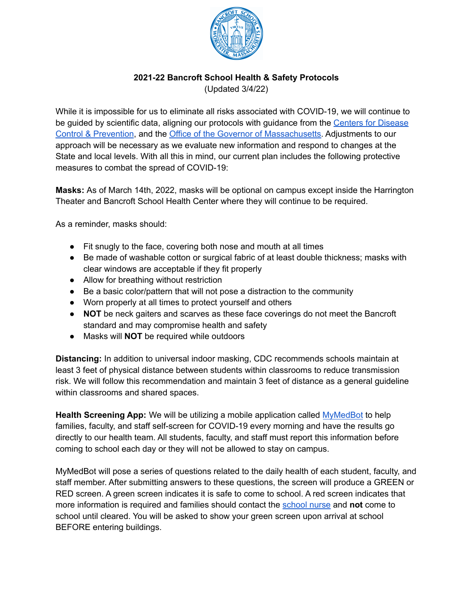

### **2021-22 Bancroft School Health & Safety Protocols**

(Updated 3/4/22)

While it is impossible for us to eliminate all risks associated with COVID-19, we will continue to be guided by scientific data, aligning our protocols with guidance from the Centers for [Disease](https://www.cdc.gov/) Control & [Prevention](https://www.cdc.gov/), and the Office of the Governor of [Massachusetts.](https://www.mass.gov/orgs/office-of-the-governor) Adjustments to our approach will be necessary as we evaluate new information and respond to changes at the State and local levels. With all this in mind, our current plan includes the following protective measures to combat the spread of COVID-19:

**Masks:** As of March 14th, 2022, masks will be optional on campus except inside the Harrington Theater and Bancroft School Health Center where they will continue to be required.

As a reminder, masks should:

- Fit snugly to the face, covering both nose and mouth at all times
- Be made of washable cotton or surgical fabric of at least double thickness; masks with clear windows are acceptable if they fit properly
- Allow for breathing without restriction
- Be a basic color/pattern that will not pose a distraction to the community
- Worn properly at all times to protect yourself and others
- **NOT** be neck gaiters and scarves as these face coverings do not meet the Bancroft standard and may compromise health and safety
- Masks will **NOT** be required while outdoors

**Distancing:** In addition to universal indoor masking, CDC recommends schools maintain at least 3 feet of physical distance between students within classrooms to reduce transmission risk. We will follow this recommendation and maintain 3 feet of distance as a general guideline within classrooms and shared spaces.

**Health Screening App:** We will be utilizing a mobile application called [MyMedBot](https://www.mymedbot.lu/) to help families, faculty, and staff self-screen for COVID-19 every morning and have the results go directly to our health team. All students, faculty, and staff must report this information before coming to school each day or they will not be allowed to stay on campus.

MyMedBot will pose a series of questions related to the daily health of each student, faculty, and staff member. After submitting answers to these questions, the screen will produce a GREEN or RED screen. A green screen indicates it is safe to come to school. A red screen indicates that more information is required and families should contact the [school](mailto:lmarzilli@bancroftschool.org) nurse and **not** come to school until cleared. You will be asked to show your green screen upon arrival at school BEFORE entering buildings.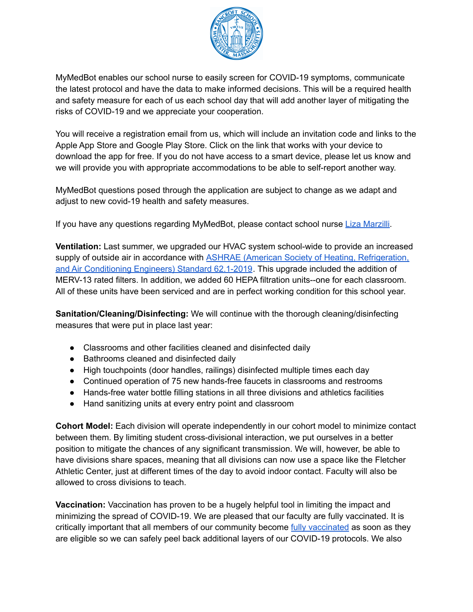

MyMedBot enables our school nurse to easily screen for COVID-19 symptoms, communicate the latest protocol and have the data to make informed decisions. This will be a required health and safety measure for each of us each school day that will add another layer of mitigating the risks of COVID-19 and we appreciate your cooperation.

You will receive a registration email from us, which will include an invitation code and links to the Apple App Store and Google Play Store. Click on the link that works with your device to download the app for free. If you do not have access to a smart device, please let us know and we will provide you with appropriate accommodations to be able to self-report another way.

MyMedBot questions posed through the application are subject to change as we adapt and adjust to new covid-19 health and safety measures.

If you have any questions regarding MyMedBot, please contact school nurse Liza [Marzilli.](mailto:lmarzilli@bancroftschool.org)

**Ventilation:** Last summer, we upgraded our HVAC system school-wide to provide an increased supply of outside air in accordance with **ASHRAE** (American Society of Heating, [Refrigeration,](https://www.ashrae.org/file%20library/technical%20resources/covid-19/guidance-for-the-re-opening-of-schools.pdf) and Air [Conditioning](https://www.ashrae.org/file%20library/technical%20resources/covid-19/guidance-for-the-re-opening-of-schools.pdf) Engineers) Standard 62.1-2019. This upgrade included the addition of MERV-13 rated filters. In addition, we added 60 HEPA filtration units--one for each classroom. All of these units have been serviced and are in perfect working condition for this school year.

**Sanitation/Cleaning/Disinfecting:** We will continue with the thorough cleaning/disinfecting measures that were put in place last year:

- Classrooms and other facilities cleaned and disinfected daily
- Bathrooms cleaned and disinfected daily
- High touchpoints (door handles, railings) disinfected multiple times each day
- Continued operation of 75 new hands-free faucets in classrooms and restrooms
- Hands-free water bottle filling stations in all three divisions and athletics facilities
- Hand sanitizing units at every entry point and classroom

**Cohort Model:** Each division will operate independently in our cohort model to minimize contact between them. By limiting student cross-divisional interaction, we put ourselves in a better position to mitigate the chances of any significant transmission. We will, however, be able to have divisions share spaces, meaning that all divisions can now use a space like the Fletcher Athletic Center, just at different times of the day to avoid indoor contact. Faculty will also be allowed to cross divisions to teach.

**Vaccination:** Vaccination has proven to be a hugely helpful tool in limiting the impact and minimizing the spread of COVID-19. We are pleased that our faculty are fully vaccinated. It is critically important that all members of our community become fully [vaccinated](https://www.cdc.gov/coronavirus/2019-ncov/vaccines/stay-up-to-date.html?CDC_AA_refVal=https%3A%2F%2Fwww.cdc.gov%2Fcoronavirus%2F2019-ncov%2Fvaccines%2Ffully-vaccinated.html) as soon as they are eligible so we can safely peel back additional layers of our COVID-19 protocols. We also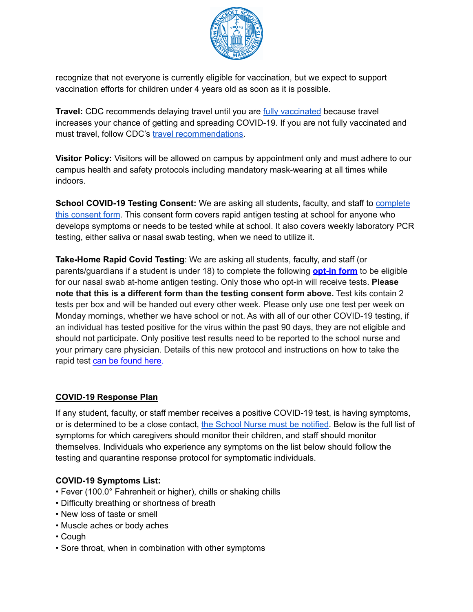

recognize that not everyone is currently eligible for vaccination, but we expect to support vaccination efforts for children under 4 years old as soon as it is possible.

**Travel:** CDC recommends delaying travel until you are **fully [vaccinated](https://www.cdc.gov/coronavirus/2019-ncov/vaccines/fully-vaccinated.html)** because travel increases your chance of getting and spreading COVID-19. If you are not fully vaccinated and must travel, follow CDC's travel [recommendations.](https://www.cdc.gov/coronavirus/2019-ncov/travelers/index.html)

**Visitor Policy:** Visitors will be allowed on campus by appointment only and must adhere to our campus health and safety protocols including mandatory mask-wearing at all times while indoors.

**School COVID-19 Testing Consent:** We are asking all students, faculty, and staff to [complete](https://www.cic-health.com/consent/ma?district=Bancroft%20School#consent) this [consent](https://www.cic-health.com/consent/ma?district=Bancroft%20School#consent) form. This consent form covers rapid antigen testing at school for anyone who develops symptoms or needs to be tested while at school. It also covers weekly laboratory PCR testing, either saliva or nasal swab testing, when we need to utilize it.

**Take-Home Rapid Covid Testing**: We are asking all students, faculty, and staff (or parents/guardians if a student is under 18) to complete the following **[opt-in](http://email.ecommunications.bancroftschool.org/c/eJxtUMluhDAM_Ro4ouzLgQNhmZ56rNpTlcnCRBNIBUzR9OsbUI-VLPv5WXr2s60dBFiWoUYA5YAUYSQgq4S-WiYl5xzoK3SwIMCZNE2PORi9hTSv1VXPZkl-W80tpVilZSxvNXNeaG-Edd5a6SznFnmjGScGEc5AGevbtn0VuCnQkGPf93-E8sD4TzenLfhnbmKY7z4tu15sZfxU4GHSIY6PucAdLBA7K8wOMn5kjJGUB-8yRkzAA1u3brk9tq8FoscB9Dghpyw9HRzqx-hOZgwvr8SOl4_39ptc3mbxJ3B3z6wh6EBYo4hCoh062rWYqF4pCCkFTHVSYsVkT1rVUQjanircNhAozFkDAFeqXOo46eUnxBjyY_955GnduGDr09Yvkfx_CQ) form** to be eligible for our nasal swab at-home antigen testing. Only those who opt-in will receive tests. **Please note that this is a different form than the testing consent form above.** Test kits contain 2 tests per box and will be handed out every other week. Please only use one test per week on Monday mornings, whether we have school or not. As with all of our other COVID-19 testing, if an individual has tested positive for the virus within the past 90 days, they are not eligible and should not participate. Only positive test results need to be reported to the school nurse and your primary care physician. Details of this new protocol and instructions on how to take the rapid test can be [found](http://email.ecommunications.bancroftschool.org/c/eJxtksuO4yAQRb_GWUY8DJiFF_EjUn_FCEORoGCIMFY68_WDSc-uJeQ6F1Rwq8qmB4yoPLmeIFIWZoSSDvNzpxbDpRRCILVgwE2LQMd13YPTKrsYtvOigk7R5k3fY_TnmG6ne08XxQTQtu2QEZi30ClFmKYcA4Biy8n395yfDb005FrW6_X65aJyoO0fCDE7-y7Cu_CwMb1UMmdt14ZeV-X8bQ8NnXBDeI24VFB4L0yJlMc-FCa8wwcb2HKRx-tbQ9hhgB0Wysdg9iAG48QzT_7YmrWPu7EphlxlgBqvz33xTlfcN0hbpa-Q4ZZUjj-awcKYIvgQk2wlr9ByDRVKez9HFklitTRgCa2J_xtRhaphusf1k5aLfxdun0y1Ou-gPjebqL8LsGu9dX4a-1PtA96l4JEPbWn_gCVvJ0FnOc6SDWwe0DzQTohxQkzMk-TFGOPscuEjE-hS_I5CdNN4Sr1fVfrrvHflL_hl6nVOGpzp6wz-Adt_sFs) here.

### **COVID-19 Response Plan**

If any student, faculty, or staff member receives a positive COVID-19 test, is having symptoms, or is determined to be a close contact, the School Nurse must be [notified.](mailto:lmarzilli@bancroftschool.org) Below is the full list of symptoms for which caregivers should monitor their children, and staff should monitor themselves. Individuals who experience any symptoms on the list below should follow the testing and quarantine response protocol for symptomatic individuals.

#### **COVID-19 Symptoms List:**

- Fever (100.0° Fahrenheit or higher), chills or shaking chills
- Difficulty breathing or shortness of breath
- New loss of taste or smell
- Muscle aches or body aches
- Cough
- Sore throat, when in combination with other symptoms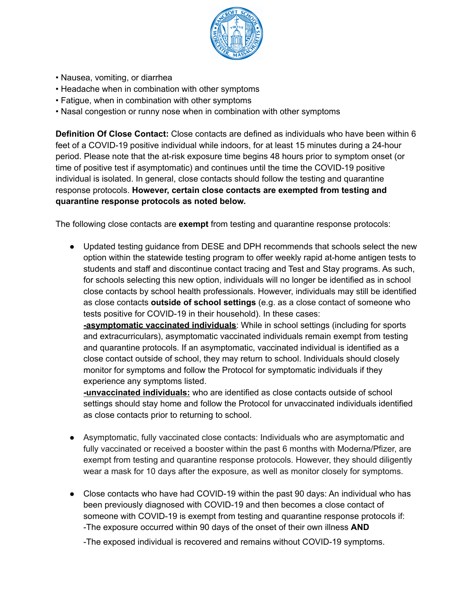

- Nausea, vomiting, or diarrhea
- Headache when in combination with other symptoms
- Fatigue, when in combination with other symptoms
- Nasal congestion or runny nose when in combination with other symptoms

**Definition Of Close Contact:** Close contacts are defined as individuals who have been within 6 feet of a COVID-19 positive individual while indoors, for at least 15 minutes during a 24-hour period. Please note that the at-risk exposure time begins 48 hours prior to symptom onset (or time of positive test if asymptomatic) and continues until the time the COVID-19 positive individual is isolated. In general, close contacts should follow the testing and quarantine response protocols. **However, certain close contacts are exempted from testing and quarantine response protocols as noted below.**

The following close contacts are **exempt** from testing and quarantine response protocols:

● Updated testing guidance from DESE and DPH recommends that schools select the new option within the statewide testing program to offer weekly rapid at-home antigen tests to students and staff and discontinue contact tracing and Test and Stay programs. As such, for schools selecting this new option, individuals will no longer be identified as in school close contacts by school health professionals. However, individuals may still be identified as close contacts **outside of school settings** (e.g. as a close contact of someone who tests positive for COVID-19 in their household). In these cases:

**-asymptomatic vaccinated individuals**: While in school settings (including for sports and extracurriculars), asymptomatic vaccinated individuals remain exempt from testing and quarantine protocols. If an asymptomatic, vaccinated individual is identified as a close contact outside of school, they may return to school. Individuals should closely monitor for symptoms and follow the Protocol for symptomatic individuals if they experience any symptoms listed.

**-unvaccinated individuals:** who are identified as close contacts outside of school settings should stay home and follow the Protocol for unvaccinated individuals identified as close contacts prior to returning to school.

- Asymptomatic, fully vaccinated close contacts: Individuals who are asymptomatic and fully vaccinated or received a booster within the past 6 months with Moderna/Pfizer, are exempt from testing and quarantine response protocols. However, they should diligently wear a mask for 10 days after the exposure, as well as monitor closely for symptoms.
- Close contacts who have had COVID-19 within the past 90 days: An individual who has been previously diagnosed with COVID-19 and then becomes a close contact of someone with COVID-19 is exempt from testing and quarantine response protocols if: -The exposure occurred within 90 days of the onset of their own illness **AND**

-The exposed individual is recovered and remains without COVID-19 symptoms.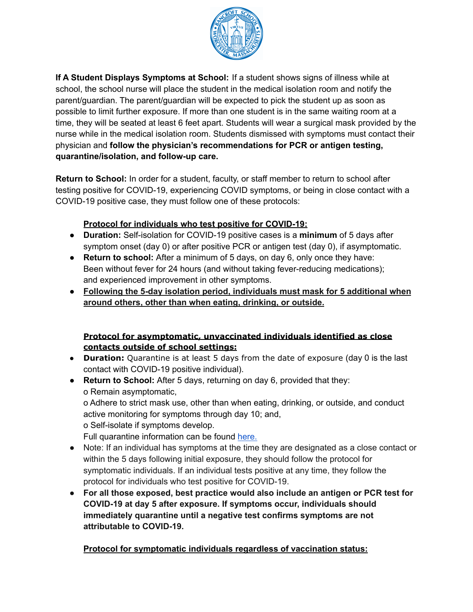

**If A Student Displays Symptoms at School:** If a student shows signs of illness while at school, the school nurse will place the student in the medical isolation room and notify the parent/guardian. The parent/guardian will be expected to pick the student up as soon as possible to limit further exposure. If more than one student is in the same waiting room at a time, they will be seated at least 6 feet apart. Students will wear a surgical mask provided by the nurse while in the medical isolation room. Students dismissed with symptoms must contact their physician and **follow the physician's recommendations for PCR or antigen testing, quarantine/isolation, and follow-up care.**

**Return to School:** In order for a student, faculty, or staff member to return to school after testing positive for COVID-19, experiencing COVID symptoms, or being in close contact with a COVID-19 positive case, they must follow one of these protocols:

# **Protocol for individuals who test positive for COVID-19:**

- **Duration:** Self-isolation for COVID-19 positive cases is a **minimum** of 5 days after symptom onset (day 0) or after positive PCR or antigen test (day 0), if asymptomatic.
- **Return to school:** After a minimum of 5 days, on day 6, only once they have: Been without fever for 24 hours (and without taking fever-reducing medications); and experienced improvement in other symptoms.
- **Following the 5-day isolation period, individuals must mask for 5 additional when around others, other than when eating, drinking, or outside.**

# **Protocol for asymptomatic, unvaccinated individuals identified as close contacts outside of school settings:**

- **Duration:** Quarantine is at least 5 days from the date of exposure (day 0 is the last contact with COVID-19 positive individual).
- **Return to School:** After 5 days, returning on day 6, provided that they: o Remain asymptomatic, o Adhere to strict mask use, other than when eating, drinking, or outside, and conduct active monitoring for symptoms through day 10; and, o Self-isolate if symptoms develop. Full quarantine information can be found [here.](https://www.mass.gov/guidance/information-and-guidance-for-persons-in-quarantine-due-to-covid-19#how-long-must-you-quarantine-)
- Note: If an individual has symptoms at the time they are designated as a close contact or within the 5 days following initial exposure, they should follow the protocol for symptomatic individuals. If an individual tests positive at any time, they follow the protocol for individuals who test positive for COVID-19.
- **● For all those exposed, best practice would also include an antigen or PCR test for COVID-19 at day 5 after exposure. If symptoms occur, individuals should immediately quarantine until a negative test confirms symptoms are not attributable to COVID-19.**

**Protocol for symptomatic individuals regardless of vaccination status:**